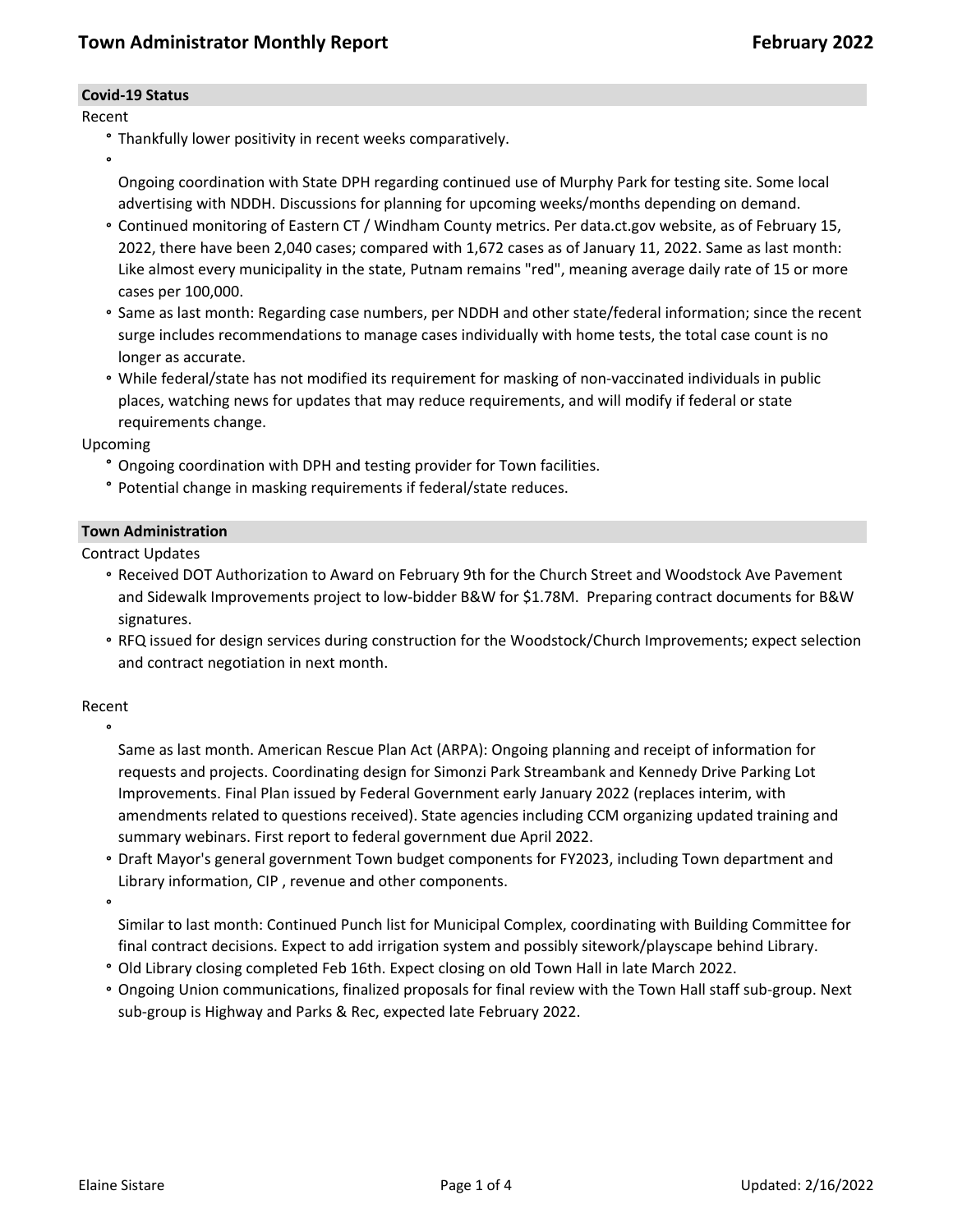### **Covid-19 Status**

### Recent

- **°** Thankfully lower positivity in recent weeks comparatively.
- **°**

Ongoing coordination with State DPH regarding continued use of Murphy Park for testing site. Some local advertising with NDDH. Discussions for planning for upcoming weeks/months depending on demand.

- **°** Continued monitoring of Eastern CT / Windham County metrics. Per data.ct.gov website, as of February 15, 2022, there have been 2,040 cases; compared with 1,672 cases as of January 11, 2022. Same as last month: Like almost every municipality in the state, Putnam remains "red", meaning average daily rate of 15 or more cases per 100,000.
- **°** Same as last month: Regarding case numbers, per NDDH and other state/federal information; since the recent surge includes recommendations to manage cases individually with home tests, the total case count is no longer as accurate.
- **°** While federal/state has not modified its requirement for masking of non-vaccinated individuals in public places, watching news for updates that may reduce requirements, and will modify if federal or state requirements change.

Upcoming

- **°** Ongoing coordination with DPH and testing provider for Town facilities.
- **°** Potential change in masking requirements if federal/state reduces.

### **Town Administration**

Contract Updates

- **°** Received DOT Authorization to Award on February 9th for the Church Street and Woodstock Ave Pavement and Sidewalk Improvements project to low-bidder B&W for \$1.78M. Preparing contract documents for B&W signatures.
- **°** RFQ issued for design services during construction for the Woodstock/Church Improvements; expect selection and contract negotiation in next month.

# Recent **°**

Same as last month. American Rescue Plan Act (ARPA): Ongoing planning and receipt of information for requests and projects. Coordinating design for Simonzi Park Streambank and Kennedy Drive Parking Lot Improvements. Final Plan issued by Federal Government early January 2022 (replaces interim, with amendments related to questions received). State agencies including CCM organizing updated training and summary webinars. First report to federal government due April 2022.

**°** Draft Mayor's general government Town budget components for FY2023, including Town department and Library information, CIP , revenue and other components.

**°**

Similar to last month: Continued Punch list for Municipal Complex, coordinating with Building Committee for final contract decisions. Expect to add irrigation system and possibly sitework/playscape behind Library.

- **°** Old Library closing completed Feb 16th. Expect closing on old Town Hall in late March 2022.
- **°** Ongoing Union communications, finalized proposals for final review with the Town Hall staff sub-group. Next sub-group is Highway and Parks & Rec, expected late February 2022.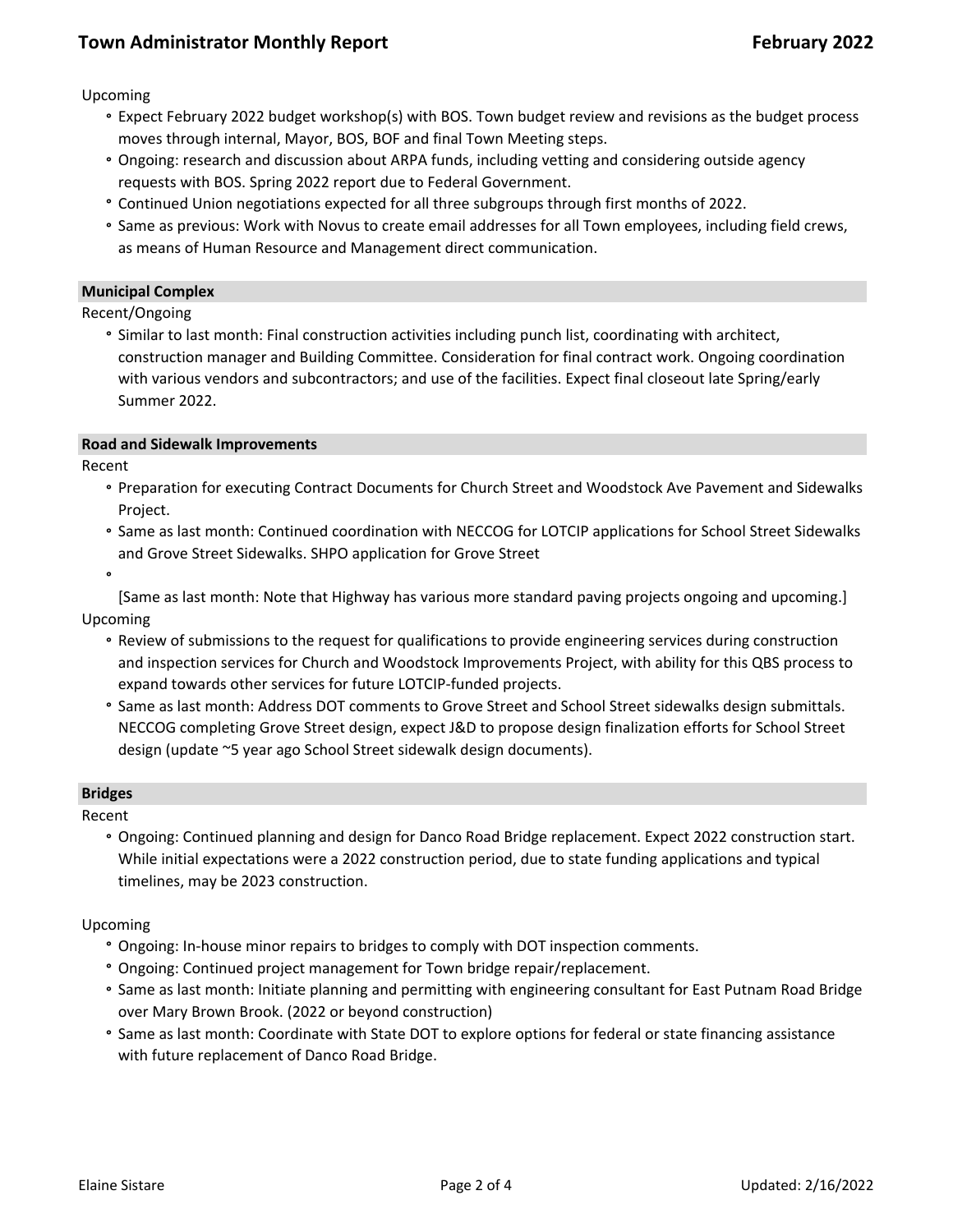# **Town Administrator Monthly Report February 2022**

Upcoming

- **°** Expect February 2022 budget workshop(s) with BOS. Town budget review and revisions as the budget process moves through internal, Mayor, BOS, BOF and final Town Meeting steps.
- **°** Ongoing: research and discussion about ARPA funds, including vetting and considering outside agency requests with BOS. Spring 2022 report due to Federal Government.
- **°** Continued Union negotiations expected for all three subgroups through first months of 2022.
- **°** Same as previous: Work with Novus to create email addresses for all Town employees, including field crews, as means of Human Resource and Management direct communication.

#### **Municipal Complex**

Recent/Ongoing

**°** Similar to last month: Final construction activities including punch list, coordinating with architect, construction manager and Building Committee. Consideration for final contract work. Ongoing coordination with various vendors and subcontractors; and use of the facilities. Expect final closeout late Spring/early Summer 2022.

#### **Road and Sidewalk Improvements**

Recent

- **°** Preparation for executing Contract Documents for Church Street and Woodstock Ave Pavement and Sidewalks Project.
- **°** Same as last month: Continued coordination with NECCOG for LOTCIP applications for School Street Sidewalks and Grove Street Sidewalks. SHPO application for Grove Street
- **°**

[Same as last month: Note that Highway has various more standard paving projects ongoing and upcoming.] Upcoming

- **°** Review of submissions to the request for qualifications to provide engineering services during construction and inspection services for Church and Woodstock Improvements Project, with ability for this QBS process to expand towards other services for future LOTCIP-funded projects.
- **°** Same as last month: Address DOT comments to Grove Street and School Street sidewalks design submittals. NECCOG completing Grove Street design, expect J&D to propose design finalization efforts for School Street design (update ~5 year ago School Street sidewalk design documents).

#### **Bridges**

Recent

**°** Ongoing: Continued planning and design for Danco Road Bridge replacement. Expect 2022 construction start. While initial expectations were a 2022 construction period, due to state funding applications and typical timelines, may be 2023 construction.

#### Upcoming

- **°** Ongoing: In-house minor repairs to bridges to comply with DOT inspection comments.
- **°** Ongoing: Continued project management for Town bridge repair/replacement.
- **°** Same as last month: Initiate planning and permitting with engineering consultant for East Putnam Road Bridge over Mary Brown Brook. (2022 or beyond construction)
- **°** Same as last month: Coordinate with State DOT to explore options for federal or state financing assistance with future replacement of Danco Road Bridge.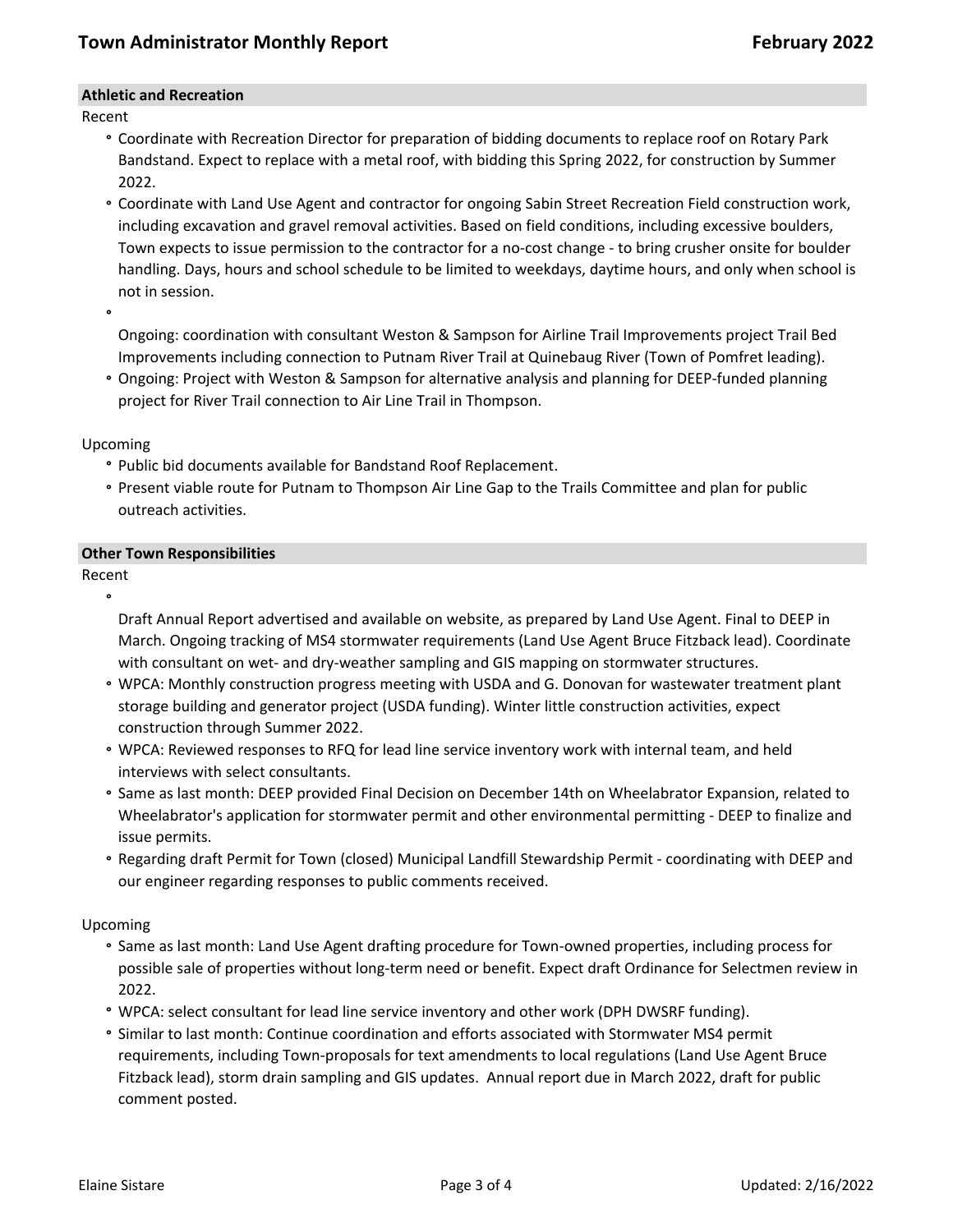### **Athletic and Recreation**

Recent

- **°** Coordinate with Recreation Director for preparation of bidding documents to replace roof on Rotary Park Bandstand. Expect to replace with a metal roof, with bidding this Spring 2022, for construction by Summer 2022.
- **°** Coordinate with Land Use Agent and contractor for ongoing Sabin Street Recreation Field construction work, including excavation and gravel removal activities. Based on field conditions, including excessive boulders, Town expects to issue permission to the contractor for a no-cost change - to bring crusher onsite for boulder handling. Days, hours and school schedule to be limited to weekdays, daytime hours, and only when school is not in session.

**°**

Ongoing: coordination with consultant Weston & Sampson for Airline Trail Improvements project Trail Bed Improvements including connection to Putnam River Trail at Quinebaug River (Town of Pomfret leading).

**°** Ongoing: Project with Weston & Sampson for alternative analysis and planning for DEEP-funded planning project for River Trail connection to Air Line Trail in Thompson.

Upcoming

- **°** Public bid documents available for Bandstand Roof Replacement.
- **°** Present viable route for Putnam to Thompson Air Line Gap to the Trails Committee and plan for public outreach activities.

### **Other Town Responsibilities**

Recent **°**

Draft Annual Report advertised and available on website, as prepared by Land Use Agent. Final to DEEP in March. Ongoing tracking of MS4 stormwater requirements (Land Use Agent Bruce Fitzback lead). Coordinate with consultant on wet- and dry-weather sampling and GIS mapping on stormwater structures.

- **°** WPCA: Monthly construction progress meeting with USDA and G. Donovan for wastewater treatment plant storage building and generator project (USDA funding). Winter little construction activities, expect construction through Summer 2022.
- **°** WPCA: Reviewed responses to RFQ for lead line service inventory work with internal team, and held interviews with select consultants.
- **°** Same as last month: DEEP provided Final Decision on December 14th on Wheelabrator Expansion, related to Wheelabrator's application for stormwater permit and other environmental permitting - DEEP to finalize and issue permits.
- **°** Regarding draft Permit for Town (closed) Municipal Landfill Stewardship Permit coordinating with DEEP and our engineer regarding responses to public comments received.

### Upcoming

- **°** Same as last month: Land Use Agent drafting procedure for Town-owned properties, including process for possible sale of properties without long-term need or benefit. Expect draft Ordinance for Selectmen review in 2022.
- **°** WPCA: select consultant for lead line service inventory and other work (DPH DWSRF funding).
- **°** Similar to last month: Continue coordination and efforts associated with Stormwater MS4 permit requirements, including Town-proposals for text amendments to local regulations (Land Use Agent Bruce Fitzback lead), storm drain sampling and GIS updates. Annual report due in March 2022, draft for public comment posted.